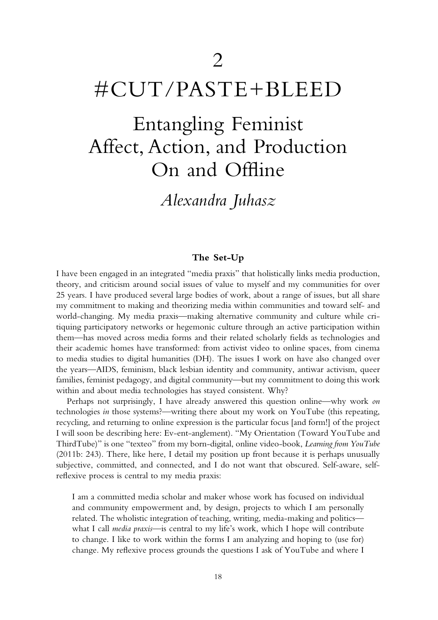# Entangling Feminist Affect, Action, and Production On and Offline

*Alexandra Juhasz*

# **The Set-Up**

I have been engaged in an integrated "media praxis" that holistically links media production, theory, and criticism around social issues of value to myself and my communities for over 25 years. I have produced several large bodies of work, about a range of issues, but all share my commitment to making and theorizing media within communities and toward self- and world-changing. My media praxis—making alternative community and culture while critiquing participatory networks or hegemonic culture through an active participation within them—has moved across media forms and their related scholarly fields as technologies and their academic homes have transformed: from activist video to online spaces, from cinema to media studies to digital humanities (DH). The issues I work on have also changed over the years—AIDS, feminism, black lesbian identity and community, antiwar activism, queer families, feminist pedagogy, and digital community—but my commitment to doing this work within and about media technologies has stayed consistent. Why?

Perhaps not surprisingly, I have already answered this question online—why work *on* technologies *in* those systems?—writing there about my work on YouTube (this repeating, recycling, and returning to online expression is the particular focus [and form!] of the project I will soon be describing here: Ev-ent-anglement). "My Orientation (Toward YouTube and ThirdTube)" is one "texteo" from my born-digital, online video-book, *Learning from YouTube* (2011b: 243). There, like here, I detail my position up front because it is perhaps unusually subjective, committed, and connected, and I do not want that obscured. Self-aware, selfreflexive process is central to my media praxis:

I am a committed media scholar and maker whose work has focused on individual and community empowerment and, by design, projects to which I am personally related. The wholistic integration of teaching, writing, media-making and politics what I call *media praxis*—is central to my life's work, which I hope will contribute to change. I like to work within the forms I am analyzing and hoping to (use for) change. My reflexive process grounds the questions I ask of YouTube and where I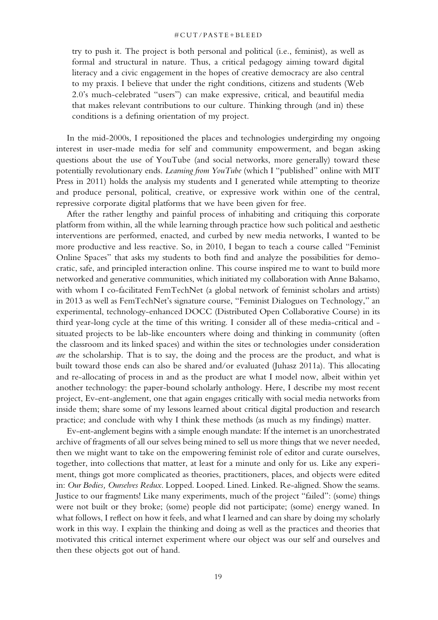try to push it. The project is both personal and political (i.e., feminist), as well as formal and structural in nature. Thus, a critical pedagogy aiming toward digital literacy and a civic engagement in the hopes of creative democracy are also central to my praxis. I believe that under the right conditions, citizens and students (Web 2.0's much-celebrated "users") can make expressive, critical, and beautiful media that makes relevant contributions to our culture. Thinking through (and in) these conditions is a defining orientation of my project.

In the mid-2000s, I repositioned the places and technologies undergirding my ongoing interest in user-made media for self and community empowerment, and began asking questions about the use of YouTube (and social networks, more generally) toward these potentially revolutionary ends. *Learning from YouTube* (which I "published" online with MIT Press in 2011) holds the analysis my students and I generated while attempting to theorize and produce personal, political, creative, or expressive work within one of the central, repressive corporate digital platforms that we have been given for free.

After the rather lengthy and painful process of inhabiting and critiquing this corporate platform from within, all the while learning through practice how such political and aesthetic interventions are performed, enacted, and curbed by new media networks, I wanted to be more productive and less reactive. So, in 2010, I began to teach a course called "Feminist Online Spaces" that asks my students to both find and analyze the possibilities for democratic, safe, and principled interaction online. This course inspired me to want to build more networked and generative communities, which initiated my collaboration with Anne Balsamo, with whom I co-facilitated FemTechNet (a global network of feminist scholars and artists) in 2013 as well as FemTechNet's signature course, "Feminist Dialogues on Technology," an experimental, technology-enhanced DOCC (Distributed Open Collaborative Course) in its third year-long cycle at the time of this writing. I consider all of these media-critical and situated projects to be lab-like encounters where doing and thinking in community (often the classroom and its linked spaces) and within the sites or technologies under consideration *are* the scholarship. That is to say, the doing and the process are the product, and what is built toward those ends can also be shared and/or evaluated (Juhasz 2011a). This allocating and re-allocating of process in and as the product are what I model now, albeit within yet another technology: the paper-bound scholarly anthology. Here, I describe my most recent project, Ev-ent-anglement, one that again engages critically with social media networks from inside them; share some of my lessons learned about critical digital production and research practice; and conclude with why I think these methods (as much as my findings) matter.

Ev-ent-anglement begins with a simple enough mandate: If the internet is an unorchestrated archive of fragments of all our selves being mined to sell us more things that we never needed, then we might want to take on the empowering feminist role of editor and curate ourselves, together, into collections that matter, at least for a minute and only for us. Like any experiment, things got more complicated as theories, practitioners, places, and objects were edited in: *Our Bodies, Ourselves Redux*. Lopped. Looped. Lined. Linked. Re-aligned. Show the seams. Justice to our fragments! Like many experiments, much of the project "failed": (some) things were not built or they broke; (some) people did not participate; (some) energy waned. In what follows, I reflect on how it feels, and what I learned and can share by doing my scholarly work in this way. I explain the thinking and doing as well as the practices and theories that motivated this critical internet experiment where our object was our self and ourselves and then these objects got out of hand.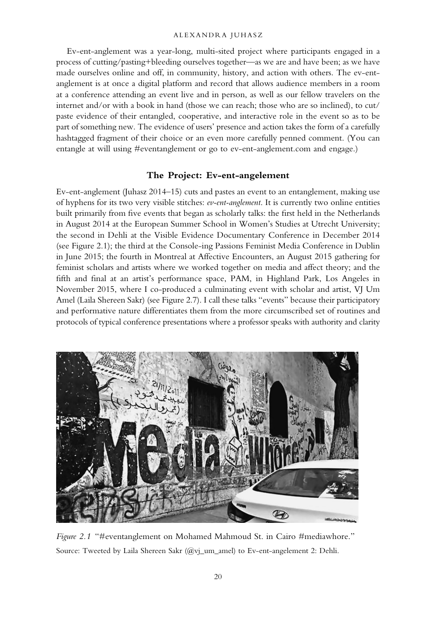Ev-ent-anglement was a year-long, multi-sited project where participants engaged in a process of cutting/pasting+bleeding ourselves together—as we are and have been; as we have made ourselves online and off, in community, history, and action with others. The ev-entanglement is at once a digital platform and record that allows audience members in a room at a conference attending an event live and in person, as well as our fellow travelers on the internet and/or with a book in hand (those we can reach; those who are so inclined), to cut/ paste evidence of their entangled, cooperative, and interactive role in the event so as to be part of something new. The evidence of users' presence and action takes the form of a carefully hashtagged fragment of their choice or an even more carefully penned comment. (You can entangle at will using #eventanglement or go to ev-ent-anglement.com and engage.)

# **The Project: Ev-ent-angelement**

Ev-ent-anglement (Juhasz 2014–15) cuts and pastes an event to an entanglement, making use of hyphens for its two very visible stitches: *ev-ent-anglement*. It is currently two online entities built primarily from five events that began as scholarly talks: the first held in the Netherlands in August 2014 at the European Summer School in Women's Studies at Utrecht University; the second in Dehli at the Visible Evidence Documentary Conference in December 2014 (see [Figure 2.1](#page--1-0)); the third at the Console-ing Passions Feminist Media Conference in Dublin in June 2015; the fourth in Montreal at Affective Encounters, an August 2015 gathering for feminist scholars and artists where we worked together on media and affect theory; and the fifth and final at an artist's performance space, PAM, in Highland Park, Los Angeles in November 2015, where I co-produced a culminating event with scholar and artist, VJ Um Amel (Laila Shereen Sakr) (see [Figure 2.7\)](#page--1-0). I call these talks "events" because their participatory and performative nature differentiates them from the more circumscribed set of routines and proto cols of typical conference presentations where a professor speaks with authority and clarity



*Figure 2.1* "#eventanglement on Mohamed Mahmoud St. in Cairo #mediawhore." Source: Tweeted by Laila Shereen Sakr (@vj\_um\_amel) to Ev-ent-angelement 2: Dehli.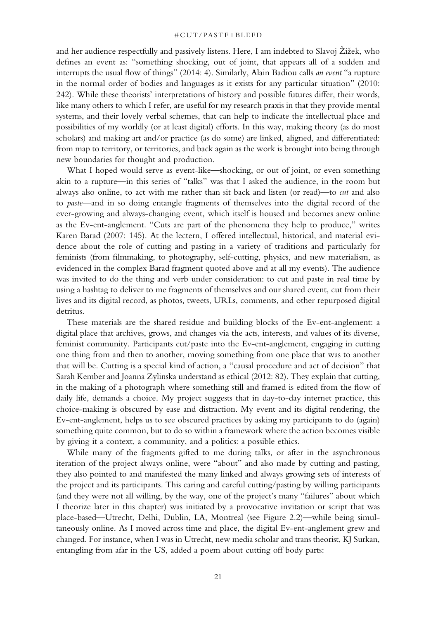and her audience respectfully and passively listens. Here, I am indebted to Slavoj Žižek, who defines an event as: "something shocking, out of joint, that appears all of a sudden and interrupts the usual flow of things" (2014: 4). Similarly, Alain Badiou calls *an event* "a rupture in the normal order of bodies and languages as it exists for any particular situation" (2010: 242). While these theorists' interpretations of history and possible futures differ, their words, like many others to which I refer, are useful for my research praxis in that they provide mental systems, and their lovely verbal schemes, that can help to indicate the intellectual place and possibilities of my worldly (or at least digital) efforts. In this way, making theory (as do most scholars) and making art and/or practice (as do some) are linked, aligned, and differentiated: from map to territory, or territories, and back again as the work is brought into being through new boundaries for thought and production.

What I hoped would serve as event-like—shocking, or out of joint, or even something akin to a rupture—in this series of "talks" was that I asked the audience, in the room but always also online, to act with me rather than sit back and listen (or read)—to *cut* and also to *paste*—and in so doing entangle fragments of themselves into the digital record of the ever-growing and always-changing event, which itself is housed and becomes anew online as the Ev-ent-anglement. "Cuts are part of the phenomena they help to produce," writes Karen Barad (2007: 145). At the lectern, I offered intellectual, historical, and material evidence about the role of cutting and pasting in a variety of traditions and particularly for feminists (from filmmaking, to photography, self-cutting, physics, and new materialism, as evidenced in the complex Barad fragment quoted above and at all my events). The audience was invited to do the thing and verb under consideration: to cut and paste in real time by using a hashtag to deliver to me fragments of themselves and our shared event, cut from their lives and its digital record, as photos, tweets, URLs, comments, and other repurposed digital detritus.

These materials are the shared residue and building blocks of the Ev-ent-anglement: a digital place that archives, grows, and changes via the acts, interests, and values of its diverse, feminist community. Participants cut/paste into the Ev-ent-anglement, engaging in cutting one thing from and then to another, moving something from one place that was to another that will be. Cutting is a special kind of action, a "causal procedure and act of decision" that Sarah Kember and Joanna Zylinska understand as ethical (2012: 82). They explain that cutting, in the making of a photograph where something still and framed is edited from the flow of daily life, demands a choice. My project suggests that in day-to-day internet practice, this choice-making is obscured by ease and distraction. My event and its digital rendering, the Ev-ent-anglement, helps us to see obscured practices by asking my participants to do (again) something quite common, but to do so within a framework where the action becomes visible by giving it a context, a community, and a politics: a possible ethics.

While many of the fragments gifted to me during talks, or after in the asynchronous iteration of the project always online, were "about" and also made by cutting and pasting, they also pointed to and manifested the many linked and always growing sets of interests of the project and its participants. This caring and careful cutting/pasting by willing participants (and they were not all willing, by the way, one of the project's many "failures" about which I theorize later in this chapter) was initiated by a provocative invitation or script that was place-based—Utrecht, Delhi, Dublin, LA, Montreal (see [Figure 2.2](#page--1-0))—while being simul taneously online. As I moved across time and place, the digital Ev-ent-anglement grew and changed. For instance, when I was in Utrecht, new media scholar and trans theorist, KJ Surkan, entangling from afar in the US, added a poem about cutting off body parts: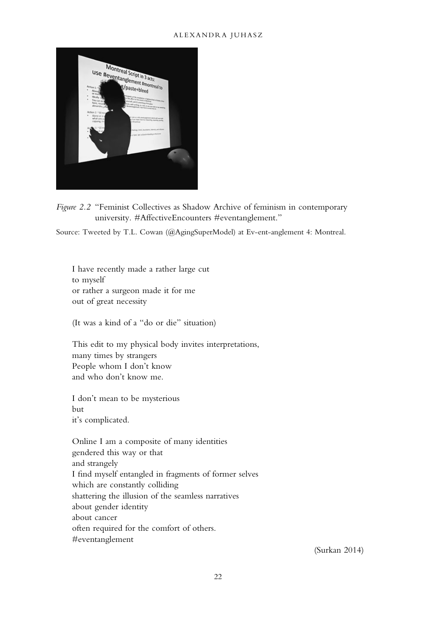

*Figure 2.2* "Feminist Collectives as Shadow Archive of feminism in contemporary university. #AffectiveEncounters #eventanglement."

Source: Tweeted by T.L. Cowan (@AgingSuperModel) at Ev-ent-anglement 4: Montreal.

I have recently made a rather large cut to myself or rather a surgeon made it for me out of great necessity

(It was a kind of a "do or die" situation)

This edit to my physical body invites interpretations, many times by strangers People whom I don't know and who don't know me.

I don't mean to be mysterious but it's complicated.

Online I am a composite of many identities gendered this way or that and strangely I find myself entangled in fragments of former selves which are constantly colliding shattering the illusion of the seamless narratives about gender identity about cancer often required for the comfort of others. #eventanglement

(Surkan 2014)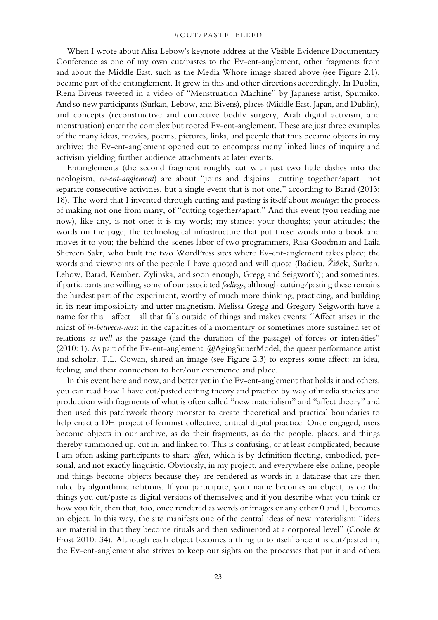When I wrote about Alisa Lebow's keynote address at the Visible Evidence Documentary Conference as one of my own cut/pastes to the Ev-ent-anglement, other fragments from and about the Middle East, such as the Media Whore image shared above (see [Figure 2.1](#page--1-0)), became part of the entanglement. It grew in this and other directions accordingly. In Dublin, Rena Bivens tweeted in a video of "Menstruation Machine" by Japanese artist, Sputniko. And so new participants (Surkan, Lebow, and Bivens), places (Middle East, Japan, and Dublin), and concepts (reconstructive and corrective bodily surgery, Arab digital activism, and menstruation) enter the complex but rooted Ev-ent-anglement. These are just three examples of the many ideas, movies, poems, pictures, links, and people that thus became objects in my archive; the Ev-ent-anglement opened out to encompass many linked lines of inquiry and activism yielding further audience attachments at later events.

Entanglements (the second fragment roughly cut with just two little dashes into the neologism, *ev-ent-anglement*) are about "joins and disjoins—cutting together/apart—not separate consecutive activities, but a single event that is not one," according to Barad (2013: 18). The word that I invented through cutting and pasting is itself about *montage*: the process of making not one from many, of "cutting together/apart." And this event (you reading me now), like any, is not one: it is my words; my stance; your thoughts; your attitudes; the words on the page; the technological infrastructure that put those words into a book and moves it to you; the behind-the-scenes labor of two programmers, Risa Goodman and Laila Shereen Sakr, who built the two WordPress sites where Ev-ent-anglement takes place; the words and viewpoints of the people I have quoted and will quote (Badiou, Žižek, Surkan, Lebow, Barad, Kember, Zylinska, and soon enough, Gregg and Seigworth); and sometimes, if participants are willing, some of our associated *feelings*, although cutting/pasting these remains the hardest part of the experiment, worthy of much more thinking, practicing, and building in its near impossibility and utter magnetism. Melissa Gregg and Gregory Seigworth have a name for this—affect—all that falls outside of things and makes events: "Affect arises in the midst of *in-between-ness*: in the capacities of a momentary or sometimes more sustained set of rela tions *as well as* the passage (and the duration of the passage) of forces or intensities" (2010: 1). As part of the Ev-ent-anglement, @AgingSuperModel, the queer performance artist and scholar, T.L. Cowan, shared an image (see [Figure 2.3\)](#page--1-0) to express some affect: an idea, feeling, and their connection to her/our experience and place.

In this event here and now, and better yet in the Ev-ent-anglement that holds it and others, you can read how I have cut/pasted editing theory and practice by way of media studies and production with fragments of what is often called "new materialism" and "affect theory" and then used this patchwork theory monster to create theoretical and practical boundaries to help enact a DH project of feminist collective, critical digital practice. Once engaged, users become objects in our archive, as do their fragments, as do the people, places, and things thereby summoned up, cut in, and linked to. This is confusing, or at least complicated, because I am often asking participants to share *affect*, which is by definition fleeting, embodied, per sonal, and not exactly linguistic. Obviously, in my project, and everywhere else online, people and things become objects because they are rendered as words in a database that are then ruled by algorithmic relations. If you participate, your name becomes an object, as do the things you cut/paste as digital versions of themselves; and if you describe what you think or how you felt, then that, too, once rendered as words or images or any other 0 and 1, becomes an object. In this way, the site manifests one of the central ideas of new materialism: "ideas are material in that they become rituals and then sedimented at a corporeal level" (Coole & Frost 2010: 34). Although each object becomes a thing unto itself once it is cut/pasted in, the Ev-ent-anglement also strives to keep our sights on the processes that put it and others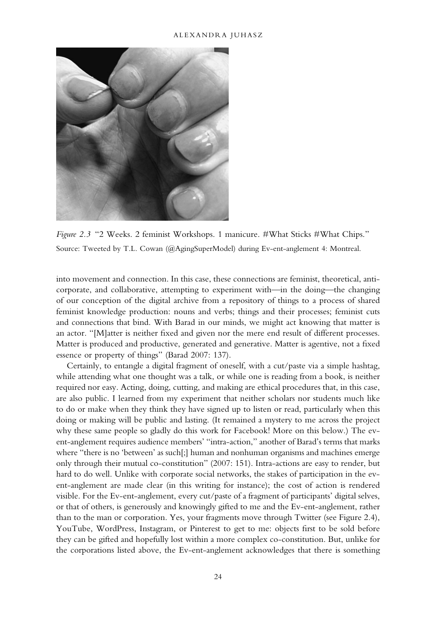

*Figure 2.3* "2 Weeks. 2 feminist Workshops. 1 manicure. #What Sticks #What Chips." Source: Tweeted by T.L. Cowan (@AgingSuperModel) during Ev-ent-anglement 4: Montreal.

into movement and connection. In this case, these connections are feminist, theoretical, anticorporate, and collaborative, attempting to experiment with—in the doing—the changing of our conception of the digital archive from a repository of things to a process of shared feminist knowledge production: nouns and verbs; things and their processes; feminist cuts and connections that bind. With Barad in our minds, we might act knowing that matter is an actor. "[M]atter is neither fixed and given nor the mere end result of different processes. Matter is produced and productive, generated and generative. Matter is agentive, not a fixed essence or property of things" (Barad 2007: 137).

Certainly, to entangle a digital fragment of oneself, with a cut/paste via a simple hashtag, while attending what one thought was a talk, or while one is reading from a book, is neither required nor easy. Acting, doing, cutting, and making are ethical procedures that, in this case, are also public. I learned from my experiment that neither scholars nor students much like to do or make when they think they have signed up to listen or read, particularly when this doing or making will be public and lasting. (It remained a mystery to me across the project why these same people so gladly do this work for Facebook! More on this below.) The event-anglement requires audience members' "intra-action," another of Barad's terms that marks where "there is no 'between' as such $[j]$  human and nonhuman organisms and machines emerge only through their mutual co-constitution" (2007: 151). Intra-actions are easy to render, but hard to do well. Unlike with corporate social networks, the stakes of participation in the event-anglement are made clear (in this writing for instance); the cost of action is rendered visible. For the Ev-ent-anglement, every cut/paste of a fragment of participants' digital selves, or that of others, is generously and knowingly gifted to me and the Ev-ent-anglement, rather than to the man or corporation. Yes, your fragments move through Twitter (see [Figure 2.4](#page--1-0)), YouTube, WordPress, Instagram, or Pinterest to get to me: objects first to be sold before they can be gifted and hopefully lost within a more complex co-constitution. But, unlike for the corporations listed above, the Ev-ent-anglement acknowledges that there is something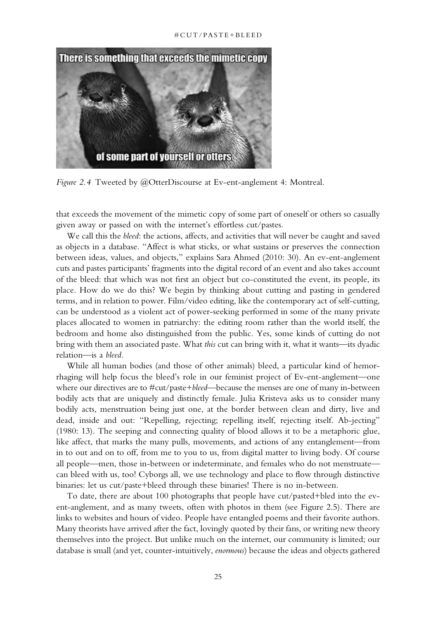

*Figure 2.4* Tweeted by @OtterDiscourse at Ev-ent-anglement 4: Montreal.

that exceeds the movement of the mimetic copy of some part of oneself or others so casually given away or passed on with the internet's effortless cut/pastes.

We call this the *bleed*: the actions, affects, and activities that will never be caught and saved as objects in a database. "Affect is what sticks, or what sustains or preserves the connection between ideas, values, and objects," explains Sara Ahmed (2010: 30). An ev-ent-anglement cuts and pastes participants' fragments into the digital record of an event and also takes account of the bleed: that which was not first an object but co-constituted the event, its people, its place. How do we do this? We begin by thinking about cutting and pasting in gendered terms, and in relation to power. Film/video editing, like the contemporary act of self-cutting, can be understood as a violent act of power-seeking performed in some of the many private places allocated to women in patriarchy: the editing room rather than the world itself, the bedroom and home also distinguished from the public. Yes, some kinds of cutting do not bring with them an associated paste. What *this* cut can bring with it, what it wants—its dyadic relation—is a *bleed*.

While all human bodies (and those of other animals) bleed, a particular kind of hemorrhaging will help focus the bleed's role in our feminist project of Ev-ent-anglement—one where our directives are to #cut/paste+*bleed*—because the menses are one of many in-between bodily acts that are uniquely and distinctly female. Julia Kristeva asks us to consider many bodily acts, menstruation being just one, at the border between clean and dirty, live and dead, inside and out: "Repelling, rejecting; repelling itself, rejecting itself. Ab-jecting" (1980: 13). The seeping and connecting quality of blood allows it to be a metaphoric glue, like affect, that marks the many pulls, movements, and actions of any entanglement—from in to out and on to off, from me to you to us, from digital matter to living body. Of course all people—men, those in-between or indeterminate, and females who do not menstruate can bleed with us, too! Cyborgs all, we use technology and place to flow through distinctive binaries: let us cut/paste+bleed through these binaries! There is no in-between.

To date, there are about 100 photographs that people have cut/pasted+bled into the event-anglement, and as many tweets, often with photos in them (see [Figure 2.5\)](#page--1-0). There are links to websites and hours of video. People have entangled poems and their favorite authors. Many theorists have arrived after the fact, lovingly quoted by their fans, or writing new theory themselves into the project. But unlike much on the internet, our community is limited; our database is small (and yet, counter-intuitively, *enormous*) because the ideas and objects gathered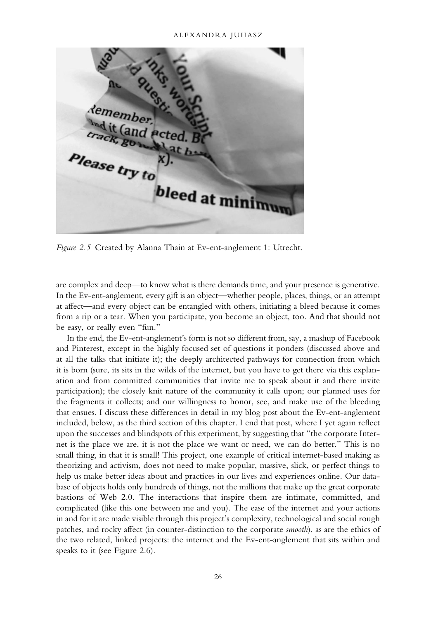

*Figure 2.5* Created by Alanna Thain at Ev-ent-anglement 1: Utrecht.

are complex and deep—to know what is there demands time, and your presence is generative. In the Ev-ent-anglement, every gift is an object—whether people, places, things, or an attempt at affect—and every object can be entangled with others, initiating a bleed because it comes from a rip or a tear. When you participate, you become an object, too. And that should not be easy, or really even "fun."

In the end, the Ev-ent-anglement's form is not so different from, say, a mashup of Facebook and Pinterest, except in the highly focused set of questions it ponders (discussed above and at all the talks that initiate it); the deeply architected pathways for connection from which it is born (sure, its sits in the wilds of the internet, but you have to get there via this explanation and from committed communities that invite me to speak about it and there invite participation); the closely knit nature of the community it calls upon; our planned uses for the fragments it collects; and our willingness to honor, see, and make use of the bleeding that ensues. I discuss these differences in detail in my blog post about the Ev-ent-anglement included, below, as the third section of this chapter. I end that post, where I yet again reflect upon the successes and blindspots of this experiment, by suggesting that "the corporate Internet is the place we are, it is not the place we want or need, we can do better." This is no small thing, in that it is small! This project, one example of critical internet-based making as theorizing and activism, does not need to make popular, massive, slick, or perfect things to help us make better ideas about and practices in our lives and experiences online. Our database of objects holds only hundreds of things, not the millions that make up the great corporate bastions of Web 2.0. The interactions that inspire them are intimate, committed, and complicated (like this one between me and you). The ease of the internet and your actions in and for it are made visible through this project's complexity, technological and social rough patches, and rocky affect (in counter-distinction to the corporate *smooth*), as are the ethics of the two related, linked projects: the internet and the Ev-ent-anglement that sits within and speaks to it (see [Figure 2.6\)](#page--1-0).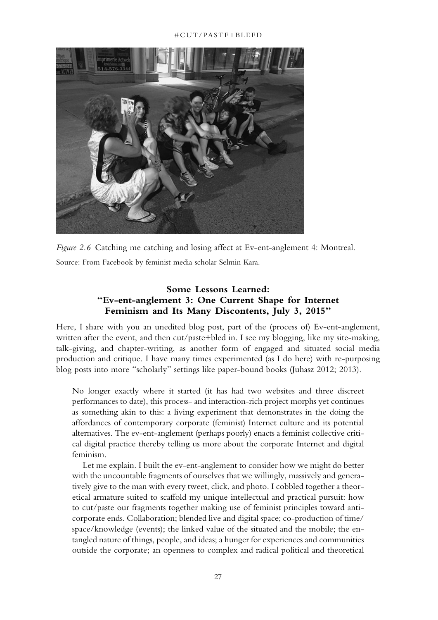

*Figure 2.6* Catching me catching and losing affect at Ev-ent-anglement 4: Montreal. Source: From Facebook by feminist media scholar Selmin Kara.

# **Some Lessons Learned: "Ev-ent-anglement 3: One Current Shape for Internet Feminism and Its Many Discontents, July 3, 2015"**

Here, I share with you an unedited blog post, part of the (process of) Ev-ent-anglement, written after the event, and then cut/paste+bled in. I see my blogging, like my site-making, talk-giving, and chapter-writing, as another form of engaged and situated social media production and critique. I have many times experimented (as I do here) with re-purposing blog posts into more "scholarly" settings like paper-bound books (Juhasz 2012; 2013).

No longer exactly where it started (it has had two websites and three discreet performances to date), this process- and interaction-rich project morphs yet continues as something akin to this: a living experiment that demonstrates in the doing the affordances of contemporary corporate (feminist) Internet culture and its potential alternatives. The ev-ent-anglement (perhaps poorly) enacts a feminist collective criti cal digital practice thereby telling us more about the corporate Internet and digital feminism.

Let me explain. I built the ev-ent-anglement to consider how we might do better with the uncountable fragments of ourselves that we willingly, massively and generatively give to the man with every tweet, click, and photo. I cobbled together a theoretical armature suited to scaffold my unique intellectual and practical pursuit: how to cut/paste our fragments together making use of feminist principles toward anticorporate ends. Collaboration; blended live and digital space; co-production of time/ space/knowledge (events); the linked value of the situated and the mobile; the entangled nature of things, people, and ideas; a hunger for experiences and communities outside the corporate; an openness to complex and radical political and theoretical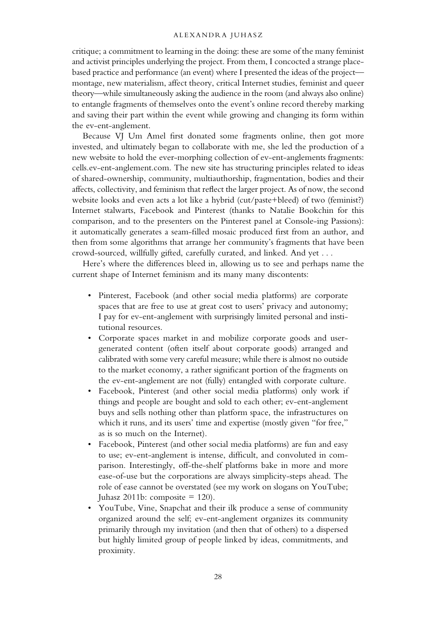critique; a commitment to learning in the doing: these are some of the many feminist and activist principles underlying the project. From them, I concocted a strange placebased practice and performance (an event) where I presented the ideas of the project montage, new materialism, affect theory, critical Internet studies, feminist and queer theory—while simultaneously asking the audience in the room (and always also online) to entangle fragments of themselves onto the event's online record thereby marking and saving their part within the event while growing and changing its form within the ev-ent-anglement.

Because VJ Um Amel first donated some fragments online, then got more invested, and ultimately began to collaborate with me, she led the production of a new website to hold the ever-morphing collection of ev-ent-anglements fragments: cells.ev-ent-anglement.com. The new site has structuring principles related to ideas of shared-ownership, community, multiauthorship, fragmentation, bodies and their affects, collectivity, and feminism that reflect the larger project. As of now, the second website looks and even acts a lot like a hybrid (cut/paste+bleed) of two (feminist?) Internet stalwarts, Facebook and Pinterest (thanks to Natalie Bookchin for this comparison, and to the presenters on the Pinterest panel at Console-ing Passions): it automatically generates a seam-filled mosaic produced first from an author, and then from some algorithms that arrange her community's fragments that have been crowd-sourced, willfully gifted, carefully curated, and linked. And yet . . .

Here's where the differences bleed in, allowing us to see and perhaps name the current shape of Internet feminism and its many many discontents:

- Pinterest, Facebook (and other social media platforms) are corporate spaces that are free to use at great cost to users' privacy and autonomy; I pay for ev-ent-anglement with surprisingly limited personal and institutional resources.
- Corporate spaces market in and mobilize corporate goods and usergenerated content (often itself about corporate goods) arranged and calibrated with some very careful measure; while there is almost no outside to the market economy, a rather significant portion of the fragments on the ev-ent-anglement are not (fully) entangled with corporate culture.
- Facebook, Pinterest (and other social media platforms) only work if things and people are bought and sold to each other; ev-ent-anglement buys and sells nothing other than platform space, the infrastructures on which it runs, and its users' time and expertise (mostly given "for free," as is so much on the Internet).
- Facebook, Pinterest (and other social media platforms) are fun and easy to use; ev-ent-anglement is intense, difficult, and convoluted in comparison. Interestingly, off-the-shelf platforms bake in more and more ease-of-use but the corporations are always simplicity-steps ahead. The role of ease cannot be overstated (see my work on slogans on YouTube; Juhasz 2011b: composite  $= 120$ ).
- YouTube, Vine, Snapchat and their ilk produce a sense of community organized around the self; ev-ent-anglement organizes its community primarily through my invitation (and then that of others) to a dispersed but highly limited group of people linked by ideas, commitments, and proximity.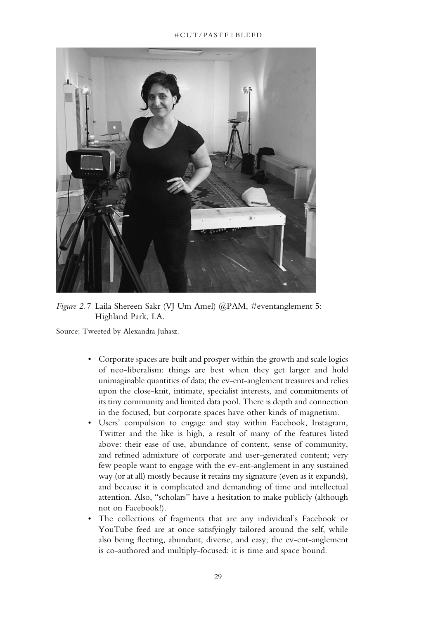

*Figure 2.7* Laila Shereen Sakr (VJ Um Amel) @PAM, #eventanglement 5: Highland Park, LA.

Source: Tweeted by Alexandra Juhasz.

- Corporate spaces are built and prosper within the growth and scale logics of neo-liberalism: things are best when they get larger and hold unimaginable quantities of data; the ev-ent-anglement treasures and relies upon the close-knit, intimate, specialist interests, and commitments of its tiny community and limited data pool. There is depth and connection in the focused, but corporate spaces have other kinds of magnetism.
- Users' compulsion to engage and stay within Facebook, Instagram, Twitter and the like is high, a result of many of the features listed above: their ease of use, abundance of content, sense of community, and refined admixture of corporate and user-generated content; very few people want to engage with the ev-ent-anglement in any sustained way (or at all) mostly because it retains my signature (even as it expands), and because it is complicated and demanding of time and intellectual attention. Also, "scholars" have a hesitation to make publicly (although not on Facebook!).
- The collections of fragments that are any individual's Facebook or YouTube feed are at once satisfyingly tailored around the self, while also being fleeting, abundant, diverse, and easy; the ev-ent-anglement is co-authored and multiply-focused; it is time and space bound.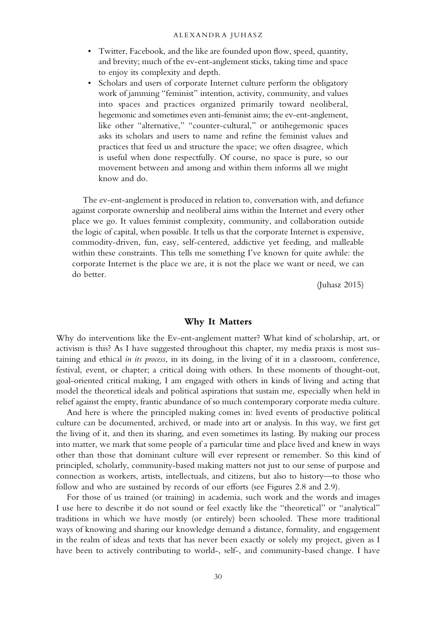- Twitter, Facebook, and the like are founded upon flow, speed, quantity, and brevity; much of the ev-ent-anglement sticks, taking time and space to enjoy its complexity and depth.
- Scholars and users of corporate Internet culture perform the obligatory work of jamming "feminist" intention, activity, community, and values into spaces and practices organized primarily toward neoliberal, hegemonic and sometimes even anti-feminist aims; the ev-ent-anglement, like other "alternative," "counter-cultural," or antihegemonic spaces asks its scholars and users to name and refine the feminist values and practices that feed us and structure the space; we often disagree, which is useful when done respectfully. Of course, no space is pure, so our movement between and among and within them informs all we might know and do.

The ev-ent-anglement is produced in relation to, conversation with, and defiance against corporate ownership and neoliberal aims within the Internet and every other place we go. It values feminist complexity, community, and collaboration outside the logic of capital, when possible. It tells us that the corporate Internet is expensive, commodity-driven, fun, easy, self-centered, addictive yet feeding, and malleable within these constraints. This tells me something I've known for quite awhile: the corporate Internet is the place we are, it is not the place we want or need, we can do better.

(Juhasz 2015)

# **Why It Matters**

Why do interventions like the Ev-ent-anglement matter? What kind of scholarship, art, or activism is this? As I have suggested throughout this chapter, my media praxis is most sustaining and ethical *in its process*, in its doing, in the living of it in a classroom, conference, festival, event, or chapter; a critical doing with others. In these moments of thought-out, goal-oriented critical making, I am engaged with others in kinds of living and acting that model the theoretical ideals and political aspirations that sustain me, especially when held in relief against the empty, frantic abundance of so much contemporary corporate media culture.

And here is where the principled making comes in: lived events of productive political culture can be documented, archived, or made into art or analysis. In this way, we first get the living of it, and then its sharing, and even sometimes its lasting. By making our process into matter, we mark that some people of a particular time and place lived and knew in ways other than those that dominant culture will ever represent or remember. So this kind of principled, scholarly, community-based making matters not just to our sense of purpose and connection as workers, artists, intellectuals, and citizens, but also to history—to those who follow and who are sustained by records of our efforts (see Figures 2.8 and 2.9).

For those of us trained (or training) in academia, such work and the words and images I use here to describe it do not sound or feel exactly like the "theoretical" or "analytical" traditions in which we have mostly (or entirely) been schooled. These more traditional ways of knowing and sharing our knowledge demand a distance, formality, and engagement in the realm of ideas and texts that has never been exactly or solely my project, given as I have been to actively contributing to world-, self-, and community-based change. I have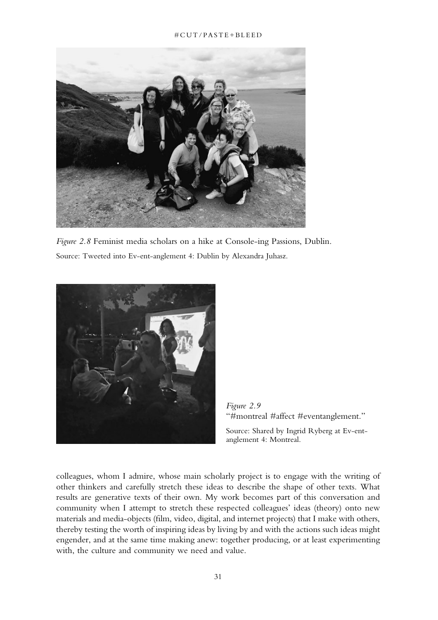

*Figure 2.8* Feminist media scholars on a hike at Console-ing Passions, Dublin. Source: Tweeted into Ev-ent-anglement 4: Dublin by Alexandra Juhasz.



*Figure 2.9* "#montreal #affect #eventanglement."

Source: Shared by Ingrid Ryberg at Ev-entanglement 4: Montreal.

collea gues, whom I admire, whose main scholarly project is to engage with the writing of other thinkers and carefully stretch these ideas to describe the shape of other texts. What results are generative texts of their own. My work becomes part of this conversation and community when I attempt to stretch these respected colleagues' ideas (theory) onto new materials and media-objects (film, video, digital, and internet projects) that I make with others, thereby testing the worth of inspiring ideas by living by and with the actions such ideas might engender, and at the same time making anew: together producing, or at least experimenting with, the culture and community we need and value.